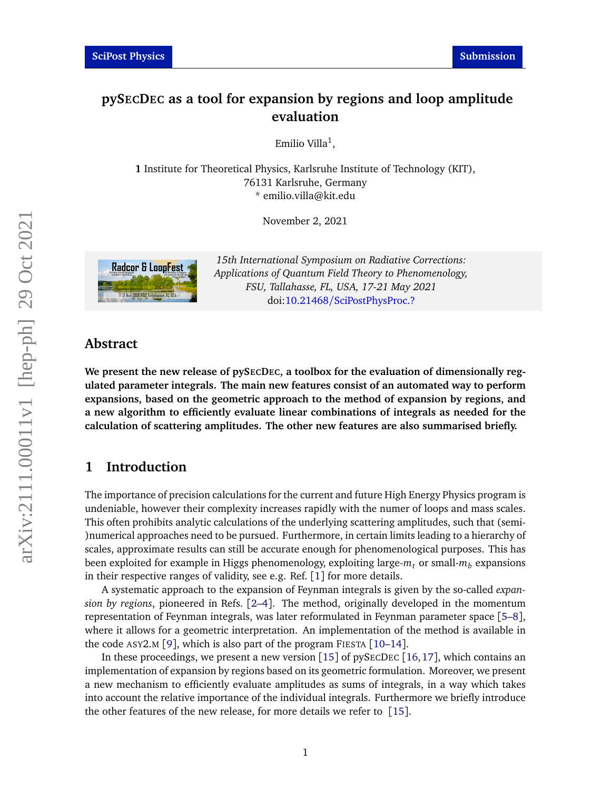# **pySECDEC as a tool for expansion by regions and loop amplitude evaluation**

Emilio Villa $^1,$ 

**1** Institute for Theoretical Physics, Karlsruhe Institute of Technology (KIT), 76131 Karlsruhe, Germany \* emilio.villa@kit.edu

November 2, 2021



*15th International Symposium on Radiative Corrections: Applications of Quantum Field Theory to Phenomenology, FSU, Tallahasse, FL, USA, 17-21 May 2021* doi:10.21468/[SciPostPhysProc.?](https://doi.org/10.21468/SciPostPhysProc.?)

### **Abstract**

We present the new release of pySECDEC, a toolbox for the evaluation of dimensionally reg**ulated parameter integrals. The main new features consist of an automated way to perform expansions, based on the geometric approach to the method of expansion by regions, and a new algorithm to efficiently evaluate linear combinations of integrals as needed for the calculation of scattering amplitudes. The other new features are also summarised briefly.**

### **1 Introduction**

The importance of precision calculations for the current and future High Energy Physics program is undeniable, however their complexity increases rapidly with the numer of loops and mass scales. This often prohibits analytic calculations of the underlying scattering amplitudes, such that (semi- )numerical approaches need to be pursued. Furthermore, in certain limits leading to a hierarchy of scales, approximate results can still be accurate enough for phenomenological purposes. This has been exploited for example in Higgs phenomenology, exploiting large-*m<sup>t</sup>* or small-*m<sup>b</sup>* expansions in their respective ranges of validity, see e.g. Ref. [[1](#page-7-0)] for more details.

A systematic approach to the expansion of Feynman integrals is given by the so-called *expansion by regions*, pioneered in Refs. [[2–](#page-7-1)[4](#page-7-2)]. The method, originally developed in the momentum representation of Feynman integrals, was later reformulated in Feynman parameter space [[5–](#page-7-3)[8](#page-7-4)], where it allows for a geometric interpretation. An implementation of the method is available in the code  $\text{ASY2.M}$  [[9](#page-7-5)], which is also part of the program FIESTA [[10](#page-7-6)[–14](#page-8-0)].

In these proceedings, we present a new version  $[15]$  $[15]$  $[15]$  of pySECDEC  $[16, 17]$  $[16, 17]$  $[16, 17]$  $[16, 17]$  $[16, 17]$ , which contains an implementation of expansion by regions based on its geometric formulation. Moreover, we present a new mechanism to efficiently evaluate amplitudes as sums of integrals, in a way which takes into account the relative importance of the individual integrals. Furthermore we briefly introduce the other features of the new release, for more details we refer to [[15](#page-8-1)].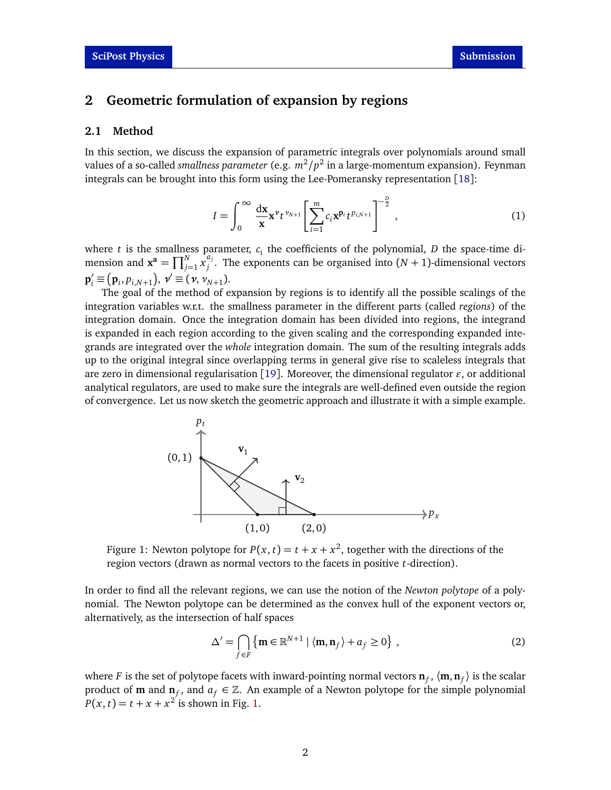# **2 Geometric formulation of expansion by regions**

#### **2.1 Method**

In this section, we discuss the expansion of parametric integrals over polynomials around small values of a so-called *smallness parameter* (e.g.  $m^2/p^2$  in a large-momentum expansion). Feynman integrals can be brought into this form using the Lee-Pomeransky representation [[18](#page-8-4)]:

<span id="page-1-1"></span>
$$
I = \int_0^\infty \frac{dx}{x} x^{\nu} t^{\nu_{N+1}} \left[ \sum_{i=1}^m c_i x^{p_i} t^{p_{i,N+1}} \right]^{-\frac{p}{2}}, \qquad (1)
$$

where  $t$  is the smallness parameter,  $c_i$  the coefficients of the polynomial,  $D$  the space-time dimension and  $\mathbf{x}^{\mathbf{a}} = \prod_{j=1}^{N} x_j^{a_j}$  $j'$ . The exponents can be organised into  $(N + 1)$ -dimensional vectors  ${\bf p}'_i \equiv ({\bf p}_i, p_{i,N+1}), \; {\bf v}' \equiv ({\bf v}, {\bf v}_{N+1}).$ 

The goal of the method of expansion by regions is to identify all the possible scalings of the integration variables w.r.t. the smallness parameter in the different parts (called *regions*) of the integration domain. Once the integration domain has been divided into regions, the integrand is expanded in each region according to the given scaling and the corresponding expanded integrands are integrated over the *whole* integration domain. The sum of the resulting integrals adds up to the original integral since overlapping terms in general give rise to scaleless integrals that are zero in dimensional regularisation [[19](#page-8-5)]. Moreover, the dimensional regulator  $\varepsilon$ , or additional analytical regulators, are used to make sure the integrals are well-defined even outside the region of convergence. Let us now sketch the geometric approach and illustrate it with a simple example.

<span id="page-1-0"></span>

Figure 1: Newton polytope for  $P(x, t) = t + x + x^2$ , together with the directions of the region vectors (drawn as normal vectors to the facets in positive *t*-direction).

In order to find all the relevant regions, we can use the notion of the *Newton polytope* of a polynomial. The Newton polytope can be determined as the convex hull of the exponent vectors or, alternatively, as the intersection of half spaces

$$
\Delta' = \bigcap_{f \in F} \{ \mathbf{m} \in \mathbb{R}^{N+1} \mid \langle \mathbf{m}, \mathbf{n}_f \rangle + a_f \ge 0 \},\tag{2}
$$

where  $F$  is the set of polytope facets with inward-pointing normal vectors  $\mathbf{n}_f, \langle \mathbf{m}, \mathbf{n}_f \rangle$  is the scalar product of **m** and  $\mathbf{n}_f$ , and  $a_f \in \mathbb{Z}$ . An example of a Newton polytope for the simple polynomial  $P(x, t) = t + x + x^2$  is shown in Fig. [1.](#page-1-0)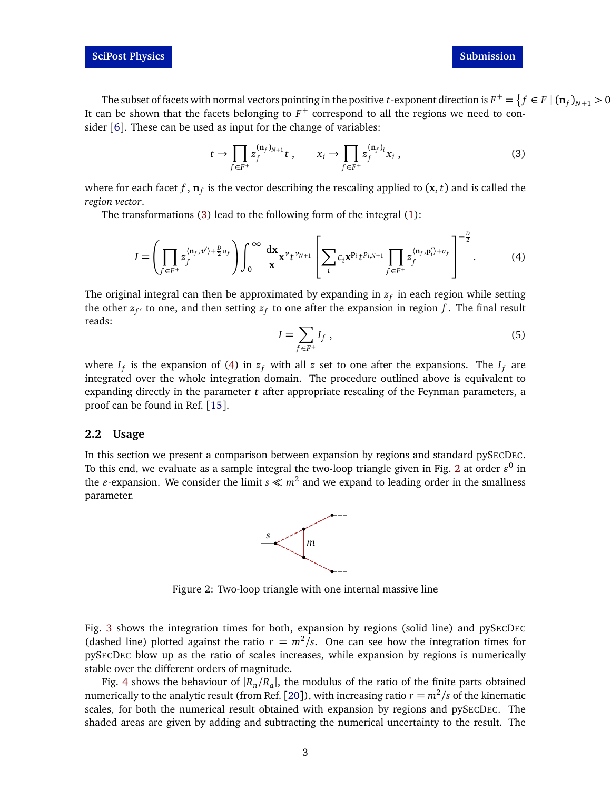The subset of facets with normal vectors pointing in the positive *t*-exponent direction is  $F^+=\{f\in F\mid (\mathbf{n}_f)_{N+1}>0$ It can be shown that the facets belonging to *F* <sup>+</sup> correspond to all the regions we need to consider  $[6]$  $[6]$  $[6]$ . These can be used as input for the change of variables:

<span id="page-2-0"></span>
$$
t \to \prod_{f \in F^+} z_f^{(\mathbf{n}_f)_{N+1}} t , \qquad x_i \to \prod_{f \in F^+} z_f^{(\mathbf{n}_f)_i} x_i , \qquad (3)
$$

where for each facet  $f$  ,  $\mathbf{n}_f$  is the vector describing the rescaling applied to  $(\mathbf{x},t)$  and is called the *region vector*.

The transformations [\(3\)](#page-2-0) lead to the following form of the integral [\(1\)](#page-1-1):

$$
I = \left(\prod_{f \in F^+} z_f^{\langle \mathbf{n}_f, \mathbf{v}' \rangle + \frac{D}{2} a_f} \right) \int_0^\infty \frac{d\mathbf{x}}{\mathbf{x}} \mathbf{x}^{\mathbf{v}} t^{\nu_{N+1}} \left[\sum_i c_i \mathbf{x}^{\mathbf{p}_i} t^{\mu_{i,N+1}} \prod_{f \in F^+} z_f^{\langle \mathbf{n}_f, \mathbf{p}_i' \rangle + a_f} \right]^{-\frac{D}{2}}.
$$
 (4)

The original integral can then be approximated by expanding in  $z_f$  in each region while setting the other  $z_{f'}$  to one, and then setting  $z_f$  to one after the expansion in region  $f$  . The final result reads:

<span id="page-2-1"></span>
$$
I = \sum_{f \in F^+} I_f \tag{5}
$$

where  $I_f$  is the expansion of [\(4\)](#page-2-1) in  $z_f$  with all  $z$  set to one after the expansions. The  $I_f$  are integrated over the whole integration domain. The procedure outlined above is equivalent to expanding directly in the parameter *t* after appropriate rescaling of the Feynman parameters, a proof can be found in Ref. [[15](#page-8-1)].

#### **2.2 Usage**

<span id="page-2-2"></span>In this section we present a comparison between expansion by regions and standard pySECDEC. To this end, we evaluate as a sample integral the two-loop triangle given in Fig. [2](#page-2-2) at order  $\varepsilon^0$  in the  $\varepsilon$ -expansion. We consider the limit  $s \ll m^2$  and we expand to leading order in the smallness parameter.



Figure 2: Two-loop triangle with one internal massive line

Fig. [3](#page-3-0) shows the integration times for both, expansion by regions (solid line) and pySECDEC (dashed line) plotted against the ratio  $r = m^2/s$ . One can see how the integration times for pySECDEC blow up as the ratio of scales increases, while expansion by regions is numerically stable over the different orders of magnitude.

Fig. [4](#page-4-0) shows the behaviour of  $|R_n/R_a|$ , the modulus of the ratio of the finite parts obtained numerically to the analytic result (from Ref. [[20](#page-8-6)]), with increasing ratio  $r = m^2/s$  of the kinematic scales, for both the numerical result obtained with expansion by regions and pySECDEC. The shaded areas are given by adding and subtracting the numerical uncertainty to the result. The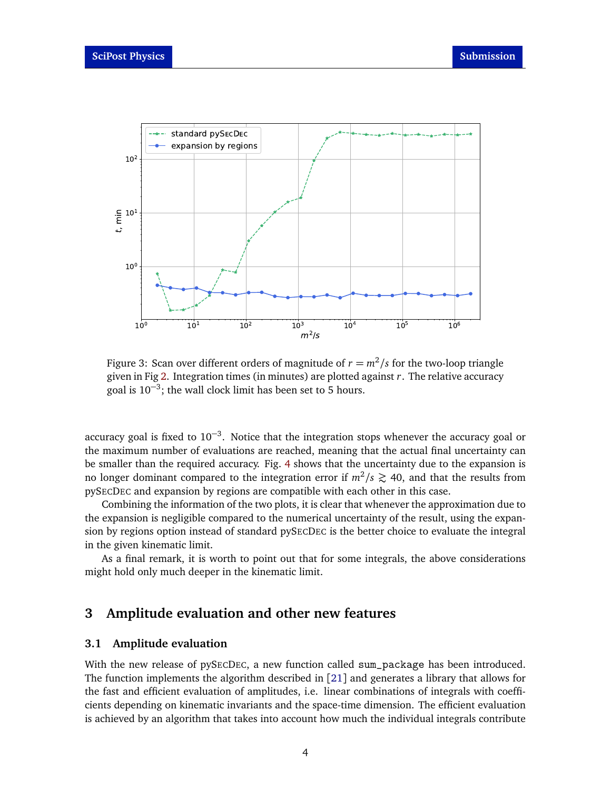<span id="page-3-0"></span>

Figure 3: Scan over different orders of magnitude of  $r = m^2/s$  for the two-loop triangle given in Fig [2.](#page-2-2) Integration times (in minutes) are plotted against *r*. The relative accuracy goal is  $10^{-3}$ ; the wall clock limit has been set to 5 hours.

accuracy goal is fixed to  $10^{-3}$ . Notice that the integration stops whenever the accuracy goal or the maximum number of evaluations are reached, meaning that the actual final uncertainty can be smaller than the required accuracy. Fig. [4](#page-4-0) shows that the uncertainty due to the expansion is no longer dominant compared to the integration error if  $m^2/s \gtrsim 40$ , and that the results from pySECDEC and expansion by regions are compatible with each other in this case.

Combining the information of the two plots, it is clear that whenever the approximation due to the expansion is negligible compared to the numerical uncertainty of the result, using the expansion by regions option instead of standard pySECDEC is the better choice to evaluate the integral in the given kinematic limit.

As a final remark, it is worth to point out that for some integrals, the above considerations might hold only much deeper in the kinematic limit.

# **3 Amplitude evaluation and other new features**

#### **3.1 Amplitude evaluation**

With the new release of pySECDEC, a new function called sum package has been introduced. The function implements the algorithm described in [[21](#page-8-7)] and generates a library that allows for the fast and efficient evaluation of amplitudes, i.e. linear combinations of integrals with coefficients depending on kinematic invariants and the space-time dimension. The efficient evaluation is achieved by an algorithm that takes into account how much the individual integrals contribute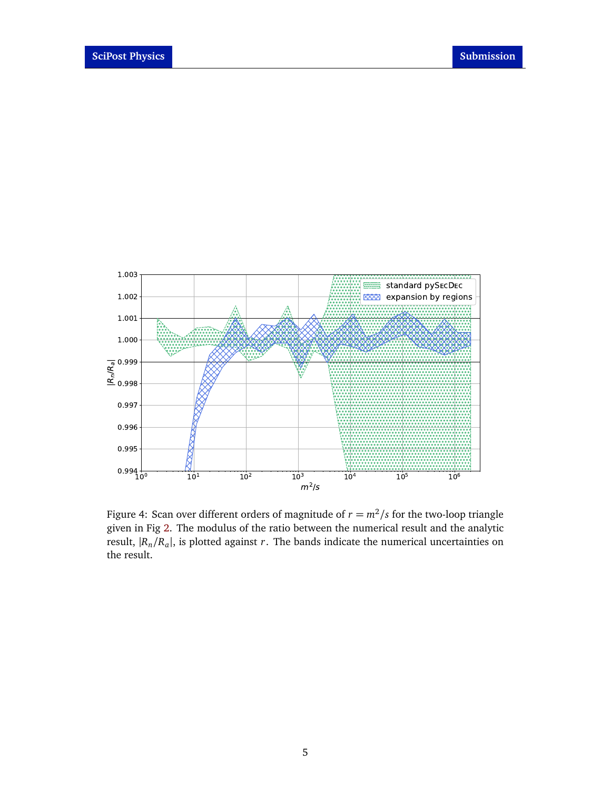<span id="page-4-0"></span>

Figure 4: Scan over different orders of magnitude of  $r = m^2/s$  for the two-loop triangle given in Fig [2.](#page-2-2) The modulus of the ratio between the numerical result and the analytic result,  $|R_n/R_a|$ , is plotted against *r*. The bands indicate the numerical uncertainties on the result.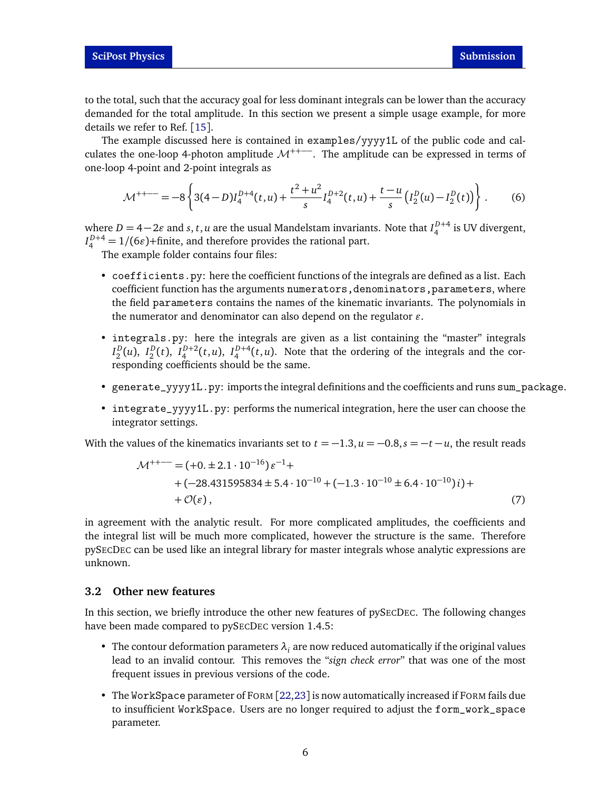to the total, such that the accuracy goal for less dominant integrals can be lower than the accuracy demanded for the total amplitude. In this section we present a simple usage example, for more details we refer to Ref. [[15](#page-8-1)].

The example discussed here is contained in examples/yyyy1L of the public code and calculates the one-loop 4-photon amplitude  $\mathcal{M}^{++-}$ . The amplitude can be expressed in terms of one-loop 4-point and 2-point integrals as

$$
\mathcal{M}^{++--} = -8 \left\{ 3(4-D)I_4^{D+4}(t,u) + \frac{t^2 + u^2}{s} I_4^{D+2}(t,u) + \frac{t - u}{s} \left( I_2^D(u) - I_2^D(t) \right) \right\}.
$$
 (6)

where  $D = 4-2\varepsilon$  and  $s, t, u$  are the usual Mandelstam invariants. Note that  $I_4^{D+4}$  is UV divergent,  $I_4^{D+4}$  = 1/(6 $\varepsilon$ )+finite, and therefore provides the rational part.

The example folder contains four files:

- coefficients.py: here the coefficient functions of the integrals are defined as a list. Each coefficient function has the arguments numerators, denominators, parameters, where the field parameters contains the names of the kinematic invariants. The polynomials in the numerator and denominator can also depend on the regulator  $\varepsilon$ .
- integrals.py: here the integrals are given as a list containing the "master" integrals  $I_2^D(u)$ ,  $I_2^D(t)$ ,  $I_4^{D+2}(t,u)$ ,  $I_4^{D+4}(t,u)$ . Note that the ordering of the integrals and the corresponding coefficients should be the same.
- generate\_yyyy1L.py: imports the integral definitions and the coefficients and runs sum\_package.
- integrate\_yyyy1L.py: performs the numerical integration, here the user can choose the integrator settings.

With the values of the kinematics invariants set to  $t = -1.3$ ,  $u = -0.8$ ,  $s = -t - u$ , the result reads

$$
\mathcal{M}^{++--} = (+0. \pm 2.1 \cdot 10^{-16}) \varepsilon^{-1} ++ (-28.431595834 \pm 5.4 \cdot 10^{-10} + (-1.3 \cdot 10^{-10} \pm 6.4 \cdot 10^{-10}) i) ++ \mathcal{O}(\varepsilon),
$$
\n(7)

in agreement with the analytic result. For more complicated amplitudes, the coefficients and the integral list will be much more complicated, however the structure is the same. Therefore pySECDEC can be used like an integral library for master integrals whose analytic expressions are unknown.

#### **3.2 Other new features**

In this section, we briefly introduce the other new features of pySECDEC. The following changes have been made compared to pySECDEC version 1.4.5:

- The contour deformation parameters  $\lambda_i$  are now reduced automatically if the original values lead to an invalid contour. This removes the "*sign check error*" that was one of the most frequent issues in previous versions of the code.
- The WorkSpace parameter of FORM [[22,](#page-8-8)[23](#page-8-9)] is now automatically increased if FORM fails due to insufficient WorkSpace. Users are no longer required to adjust the form\_work\_space parameter.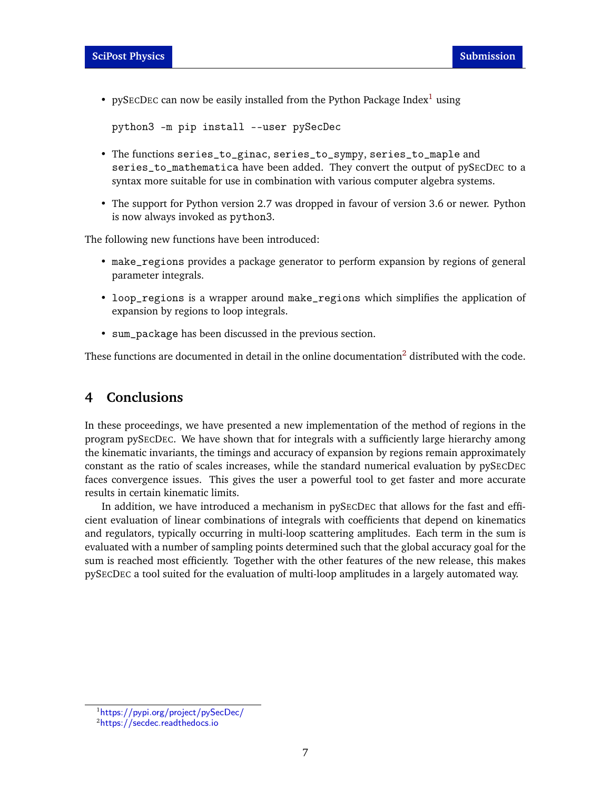• pySECDEC can now be easily installed from the Python Package Index<sup>[1](#page-6-0)</sup> using

```
python3 -m pip install --user pySecDec
```
- The functions series\_to\_ginac, series\_to\_sympy, series\_to\_maple and series\_to\_mathematica have been added. They convert the output of pySECDEC to a syntax more suitable for use in combination with various computer algebra systems.
- The support for Python version 2.7 was dropped in favour of version 3.6 or newer. Python is now always invoked as python3.

The following new functions have been introduced:

- make\_regions provides a package generator to perform expansion by regions of general parameter integrals.
- loop\_regions is a wrapper around make\_regions which simplifies the application of expansion by regions to loop integrals.
- sum\_package has been discussed in the previous section.

These functions are documented in detail in the online documentation<sup>[2](#page-6-1)</sup> distributed with the code.

# **4 Conclusions**

In these proceedings, we have presented a new implementation of the method of regions in the program pySECDEC. We have shown that for integrals with a sufficiently large hierarchy among the kinematic invariants, the timings and accuracy of expansion by regions remain approximately constant as the ratio of scales increases, while the standard numerical evaluation by pySECDEC faces convergence issues. This gives the user a powerful tool to get faster and more accurate results in certain kinematic limits.

In addition, we have introduced a mechanism in pySECDEC that allows for the fast and efficient evaluation of linear combinations of integrals with coefficients that depend on kinematics and regulators, typically occurring in multi-loop scattering amplitudes. Each term in the sum is evaluated with a number of sampling points determined such that the global accuracy goal for the sum is reached most efficiently. Together with the other features of the new release, this makes pySECDEC a tool suited for the evaluation of multi-loop amplitudes in a largely automated way.

<span id="page-6-0"></span><sup>1</sup><https://pypi.org/project/pySecDec/>

<span id="page-6-1"></span><sup>2</sup><https://secdec.readthedocs.io>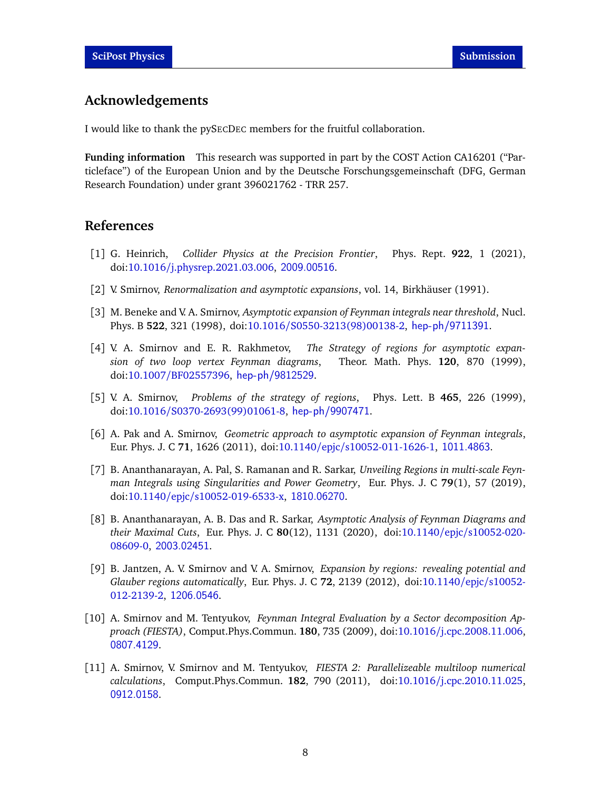# **Acknowledgements**

I would like to thank the pySECDEC members for the fruitful collaboration.

**Funding information** This research was supported in part by the COST Action CA16201 ("Particleface") of the European Union and by the Deutsche Forschungsgemeinschaft (DFG, German Research Foundation) under grant 396021762 - TRR 257.

#### **References**

- <span id="page-7-0"></span>[1] G. Heinrich, *Collider Physics at the Precision Frontier*, Phys. Rept. **922**, 1 (2021), doi:10.1016/[j.physrep.2021.03.006,](https://doi.org/10.1016/j.physrep.2021.03.006) <2009.00516>.
- <span id="page-7-1"></span>[2] V. Smirnov, *Renormalization and asymptotic expansions*, vol. 14, Birkhäuser (1991).
- [3] M. Beneke and V. A. Smirnov, *Asymptotic expansion of Feynman integrals near threshold*, Nucl. Phys. B **522**, 321 (1998), doi:10.1016/[S0550-3213\(98\)00138-2,](https://doi.org/10.1016/S0550-3213(98)00138-2) <hep-ph/9711391>.
- <span id="page-7-2"></span>[4] V. A. Smirnov and E. R. Rakhmetov, *The Strategy of regions for asymptotic expansion of two loop vertex Feynman diagrams*, Theor. Math. Phys. **120**, 870 (1999), doi:10.1007/[BF02557396,](https://doi.org/10.1007/BF02557396) <hep-ph/9812529>.
- <span id="page-7-3"></span>[5] V. A. Smirnov, *Problems of the strategy of regions*, Phys. Lett. B **465**, 226 (1999), doi:10.1016/[S0370-2693\(99\)01061-8,](https://doi.org/10.1016/S0370-2693(99)01061-8) <hep-ph/9907471>.
- <span id="page-7-7"></span>[6] A. Pak and A. Smirnov, *Geometric approach to asymptotic expansion of Feynman integrals*, Eur. Phys. J. C **71**, 1626 (2011), doi:10.1140/epjc/[s10052-011-1626-1,](https://doi.org/10.1140/epjc/s10052-011-1626-1) <1011.4863>.
- [7] B. Ananthanarayan, A. Pal, S. Ramanan and R. Sarkar, *Unveiling Regions in multi-scale Feynman Integrals using Singularities and Power Geometry*, Eur. Phys. J. C **79**(1), 57 (2019), doi:10.1140/epjc/[s10052-019-6533-x,](https://doi.org/10.1140/epjc/s10052-019-6533-x) <1810.06270>.
- <span id="page-7-4"></span>[8] B. Ananthanarayan, A. B. Das and R. Sarkar, *Asymptotic Analysis of Feynman Diagrams and their Maximal Cuts*, Eur. Phys. J. C **80**(12), 1131 (2020), doi:10.1140/epjc/[s10052-020-](https://doi.org/10.1140/epjc/s10052-020-08609-0) [08609-0,](https://doi.org/10.1140/epjc/s10052-020-08609-0) <2003.02451>.
- <span id="page-7-5"></span>[9] B. Jantzen, A. V. Smirnov and V. A. Smirnov, *Expansion by regions: revealing potential and Glauber regions automatically*, Eur. Phys. J. C **72**, 2139 (2012), doi[:10.1140](https://doi.org/10.1140/epjc/s10052-012-2139-2)/epjc/s10052- [012-2139-2,](https://doi.org/10.1140/epjc/s10052-012-2139-2) <1206.0546>.
- <span id="page-7-6"></span>[10] A. Smirnov and M. Tentyukov, *Feynman Integral Evaluation by a Sector decomposition Approach (FIESTA)*, Comput.Phys.Commun. **180**, 735 (2009), doi:10.1016/[j.cpc.2008.11.006,](https://doi.org/10.1016/j.cpc.2008.11.006) <0807.4129>.
- [11] A. Smirnov, V. Smirnov and M. Tentyukov, *FIESTA 2: Parallelizeable multiloop numerical calculations*, Comput.Phys.Commun. **182**, 790 (2011), doi:10.1016/[j.cpc.2010.11.025,](https://doi.org/10.1016/j.cpc.2010.11.025) <0912.0158>.